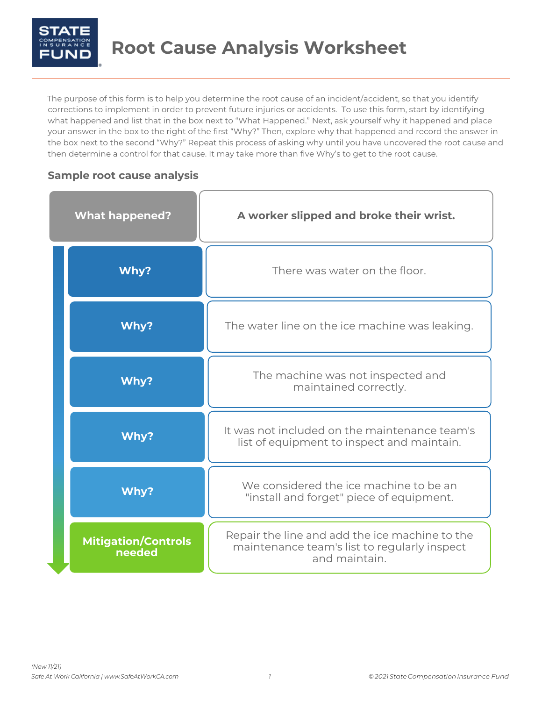

The purpose of this form is to help you determine the root cause of an incident/accident, so that you identify corrections to implement in order to prevent future injuries or accidents. To use this form, start by identifying what happened and list that in the box next to "What Happened." Next, ask yourself why it happened and place your answer in the box to the right of the first "Why?" Then, explore why that happened and record the answer in the box next to the second "Why?" Repeat this process of asking why until you have uncovered the root cause and then determine a control for that cause. It may take more than five Why's to get to the root cause.

## **Sample root cause analysis**

| <b>What happened?</b>                | A worker slipped and broke their wrist.                                                                         |
|--------------------------------------|-----------------------------------------------------------------------------------------------------------------|
| Why?                                 | There was water on the floor.                                                                                   |
| Why?                                 | The water line on the ice machine was leaking.                                                                  |
| Why?                                 | The machine was not inspected and<br>maintained correctly.                                                      |
| Why?                                 | It was not included on the maintenance team's<br>list of equipment to inspect and maintain.                     |
| Why?                                 | We considered the ice machine to be an<br>"install and forget" piece of equipment.                              |
| <b>Mitigation/Controls</b><br>needed | Repair the line and add the ice machine to the<br>maintenance team's list to regularly inspect<br>and maintain. |